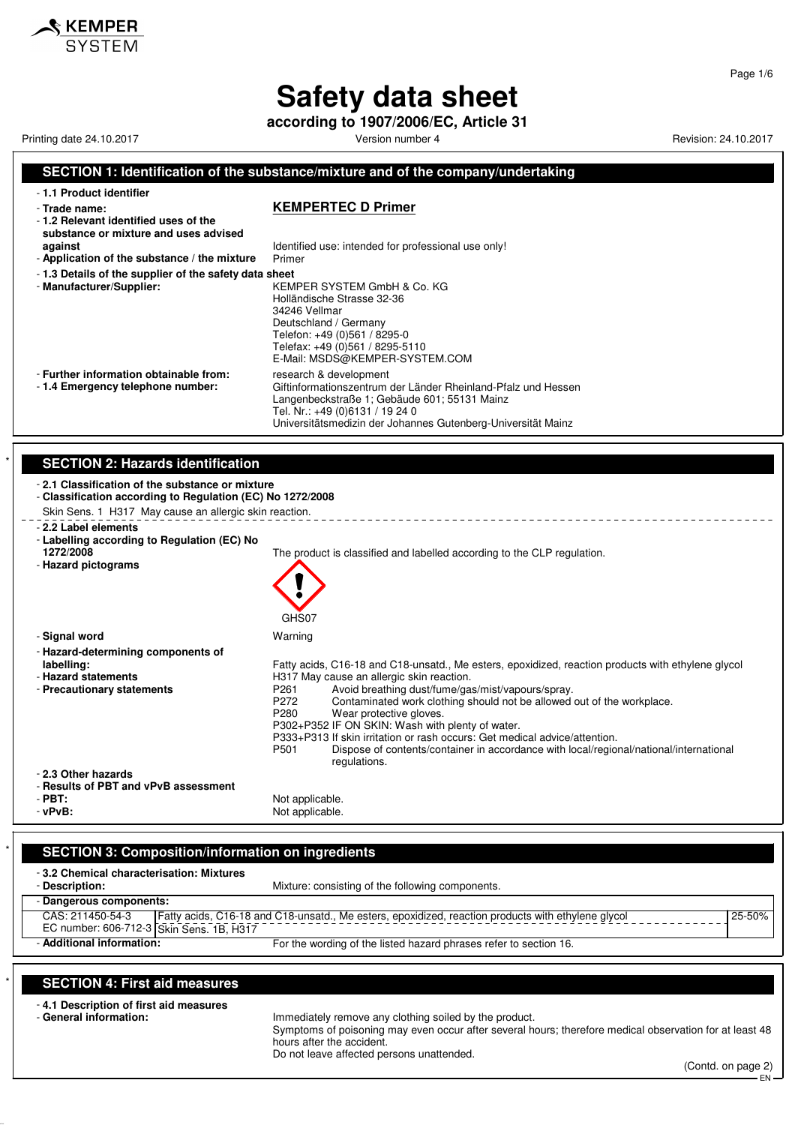# **Safety data sheet**

**according to 1907/2006/EC, Article 31**

Printing date 24.10.2017 **Version number 4 Version number 4** Revision: 24.10.2017

KEMPER

Page 1/6

### **SECTION 1: Identification of the substance/mixture and of the company/undertaking** - **1.1 Product identifier** - **Trade name: KEMPERTEC D Primer** - **1.2 Relevant identified uses of the substance or mixture and uses advised against against Identified use: intended for professional use only!**<br>**Application of the substance / the mixture** Primer - Application of the substance / the mixture - **1.3 Details of the supplier of the safety data sheet** - **Manufacturer/Supplier:** KEMPER SYSTEM GmbH & Co. KG Holländische Strasse 32-36 34246 Vellmar Deutschland / Germany Telefon: +49 (0)561 / 8295-0 Telefax: +49 (0)561 / 8295-5110 E-Mail: MSDS@KEMPER-SYSTEM.COM - **Further information obtainable from:** research & development<br>- 1.4 **Emergency telephone number:** Giftinformationszentrum Giftinformationszentrum der Länder Rheinland-Pfalz und Hessen Langenbeckstraße 1; Gebäude 601; 55131 Mainz Tel. Nr.: +49 (0)6131 / 19 24 0 Universitätsmedizin der Johannes Gutenberg-Universität Mainz **SECTION 2: Hazards identification** - **2.1 Classification of the substance or mixture** - **Classification according to Regulation (EC) No 1272/2008** Skin Sens. 1 H317 May cause an allergic skin reaction. - **2.2 Label elements** - **Labelling according to Regulation (EC) No** The product is classified and labelled according to the CLP regulation. - **Hazard pictograms** GHS<sub>07</sub> - **Signal word** Warning - **Hazard-determining components of labelling:** Fatty acids, C16-18 and C18-unsatd., Me esters, epoxidized, reaction products with ethylene glycol - **Hazard statements H317 May cause an allergic skin reaction.**<br>- **Precautionary statements Hangel Statements P261** Avoid breathing dust/fume/ga P261 Avoid breathing dust/fume/gas/mist/vapours/spray.<br>P272 Contaminated work clothing should not be allowed P272 Contaminated work clothing should not be allowed out of the workplace.<br>P280 Wear protective gloves. Wear protective gloves. P302+P352 IF ON SKIN: Wash with plenty of water. P333+P313 If skin irritation or rash occurs: Get medical advice/attention. Dispose of contents/container in accordance with local/regional/national/international regulations. - **2.3 Other hazards** - **Results of PBT and vPvB assessment** - **PBT:**<br>
- **vPvB:**<br>
- **vPvB:**<br>
- Not applicable. Not applicable.

## **SECTION 3: Composition/information on ingredients**

| -3.2 Chemical characterisation: Mixtures |                                                                                                    |            |
|------------------------------------------|----------------------------------------------------------------------------------------------------|------------|
| - Description:                           | Mixture: consisting of the following components.                                                   |            |
| - Dangerous components:                  |                                                                                                    |            |
| CAS: 211450-54-3                         | Fatty acids, C16-18 and C18-unsatd., Me esters, epoxidized, reaction products with ethylene glycol | $25 - 50%$ |
| EC number: 606-712-3 Skin Sens. 1B, H317 |                                                                                                    |            |
| - Additional information:                | For the wording of the listed hazard phrases refer to section 16.                                  |            |

## \* **SECTION 4: First aid measures**

- **4.1 Description of first aid measures**

Immediately remove any clothing soiled by the product. Symptoms of poisoning may even occur after several hours; therefore medical observation for at least 48 hours after the accident. Do not leave affected persons unattended.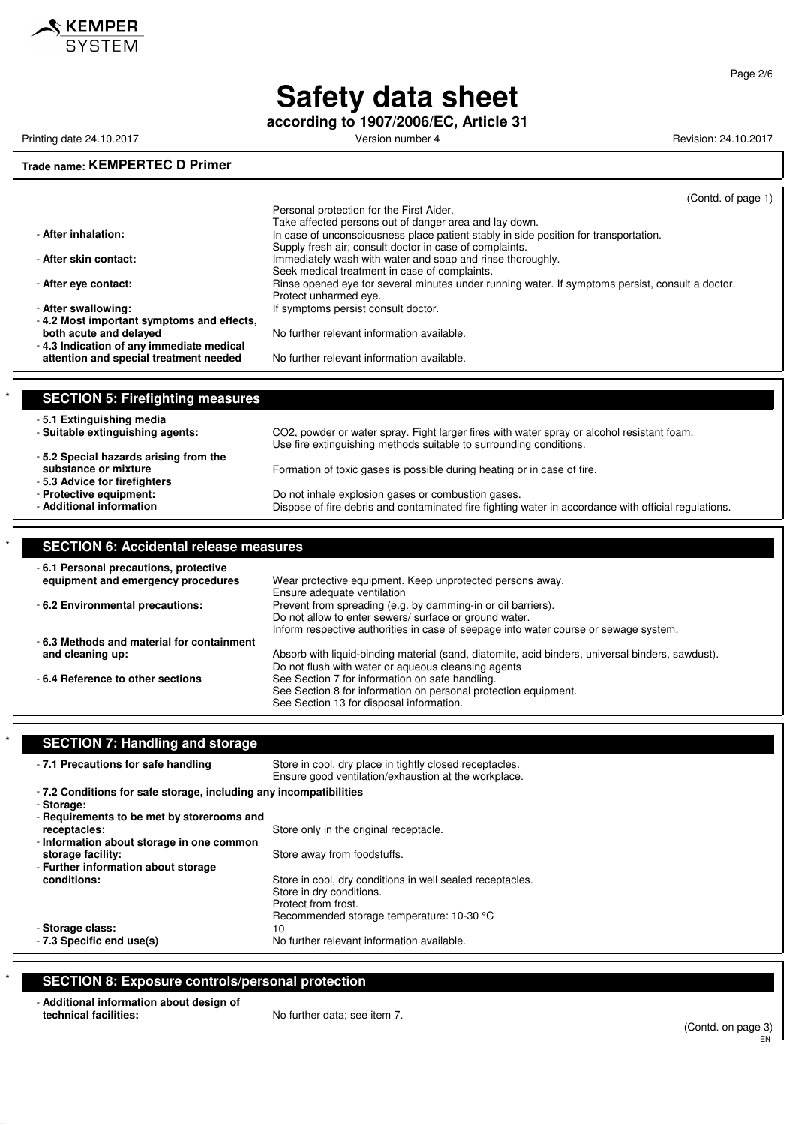

**according to 1907/2006/EC, Article 31**

Printing date 24.10.2017 **Version number 4 Version number 4** Revision: 24.10.2017

 $\hat{\mathcal{S}}$  KEMPER

## **Trade name: KEMPERTEC D Primer** (Contd. of page 1) Personal protection for the First Aider. Take affected persons out of danger area and lay down. - After inhalation: **In case of unconsciousness place patient stably in side position for transportation.** Supply fresh air; consult doctor in case of complaints. - **After skin contact:** Immediately wash with water and soap and rinse thoroughly. Seek medical treatment in case of complaints. - **After eye contact: Rinse opened eye for several minutes under running water. If symptoms persist, consult a doctor.** Protect unharmed eye. - After swallowing: **After swallowing:** If symptoms persist consult doctor. - **4.2 Most important symptoms and effects,** No further relevant information available. - **4.3 Indication of any immediate medical attention and special treatment needed** No further relevant information available. **SECTION 5: Firefighting measures** - **5.1 Extinguishing media** CO2, powder or water spray. Fight larger fires with water spray or alcohol resistant foam. Use fire extinguishing methods suitable to surrounding conditions. - **5.2 Special hazards arising from the** Formation of toxic gases is possible during heating or in case of fire. - **5.3 Advice for firefighters** - **Protective equipment:** Do not inhale explosion gases or combustion gases. Dispose of fire debris and contaminated fire fighting water in accordance with official regulations. \* **SECTION 6: Accidental release measures**

| -6.1 Personal precautions, protective     |                                                                                                  |
|-------------------------------------------|--------------------------------------------------------------------------------------------------|
| equipment and emergency procedures        | Wear protective equipment. Keep unprotected persons away.                                        |
|                                           | Ensure adequate ventilation                                                                      |
| - 6.2 Environmental precautions:          | Prevent from spreading (e.g. by damming-in or oil barriers).                                     |
|                                           | Do not allow to enter sewers/ surface or ground water.                                           |
|                                           | Inform respective authorities in case of seepage into water course or sewage system.             |
| -6.3 Methods and material for containment |                                                                                                  |
| and cleaning up:                          | Absorb with liquid-binding material (sand, diatomite, acid binders, universal binders, sawdust). |
|                                           | Do not flush with water or aqueous cleansing agents                                              |
| - 6.4 Reference to other sections         | See Section 7 for information on safe handling.                                                  |
|                                           | See Section 8 for information on personal protection equipment.                                  |
|                                           | See Section 13 for disposal information.                                                         |

| -7.1 Precautions for safe handling                                 | Store in cool, dry place in tightly closed receptacles.<br>Ensure good ventilation/exhaustion at the workplace. |
|--------------------------------------------------------------------|-----------------------------------------------------------------------------------------------------------------|
| - 7.2 Conditions for safe storage, including any incompatibilities |                                                                                                                 |
| - Storage:                                                         |                                                                                                                 |
| - Requirements to be met by storerooms and                         |                                                                                                                 |
| receptacles:                                                       | Store only in the original receptacle.                                                                          |
| - Information about storage in one common                          |                                                                                                                 |
| storage facility:                                                  | Store away from foodstuffs.                                                                                     |
| - Further information about storage                                |                                                                                                                 |
| conditions:                                                        | Store in cool, dry conditions in well sealed receptacles.                                                       |
|                                                                    | Store in dry conditions.                                                                                        |
|                                                                    | Protect from frost.                                                                                             |
|                                                                    | Recommended storage temperature: 10-30 °C                                                                       |
| - Storage class:                                                   | 10                                                                                                              |
| - 7.3 Specific end use(s)                                          | No further relevant information available.                                                                      |

## **SECTION 8: Exposure controls/personal protection**

| - Additional information about design of |                              |
|------------------------------------------|------------------------------|
| technical facilities:                    | No further data; see item 7. |

(Contd. on page 3) EN

Page 2/6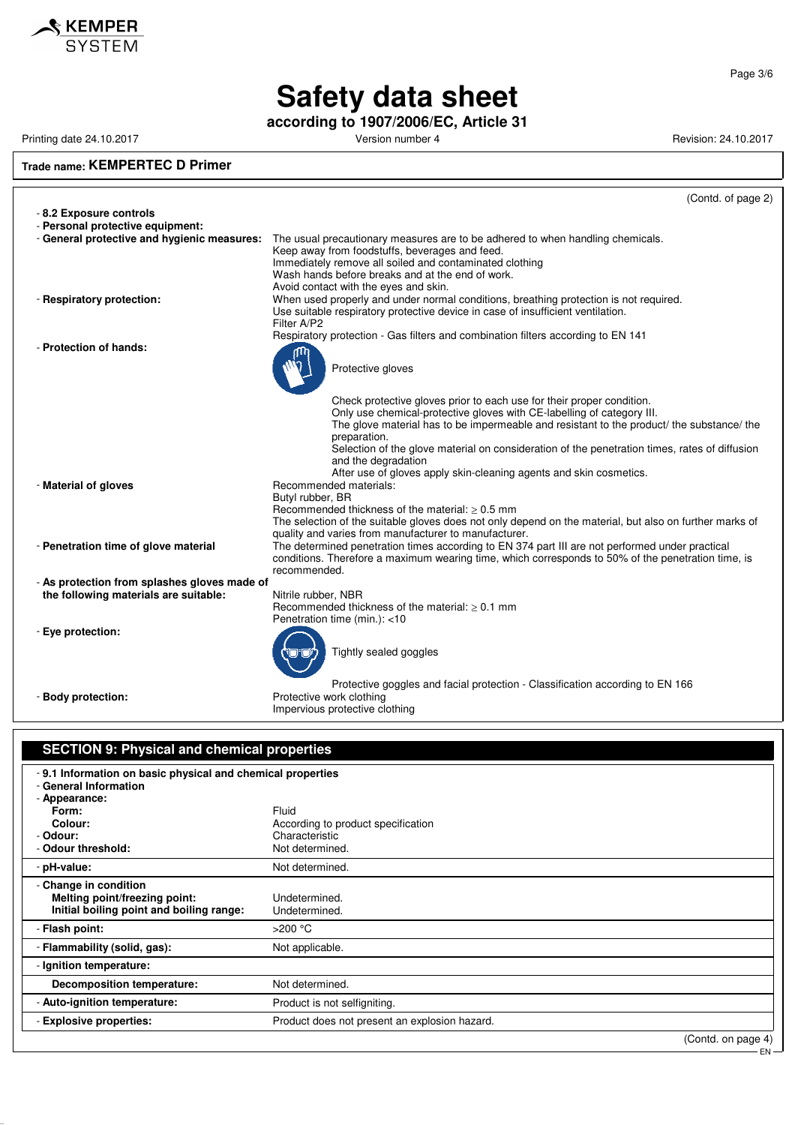

Page 3/6

# **Safety data sheet**

**according to 1907/2006/EC, Article 31**

Printing date 24.10.2017 **Version number 4** Version number 4 Revision: 24.10.2017

#### **Trade name: KEMPERTEC D Primer**

|                                              | (Contd. of page 2)                                                                                          |
|----------------------------------------------|-------------------------------------------------------------------------------------------------------------|
| - 8.2 Exposure controls                      |                                                                                                             |
| - Personal protective equipment:             |                                                                                                             |
| - General protective and hygienic measures:  | The usual precautionary measures are to be adhered to when handling chemicals.                              |
|                                              | Keep away from foodstuffs, beverages and feed.                                                              |
|                                              | Immediately remove all soiled and contaminated clothing<br>Wash hands before breaks and at the end of work. |
|                                              | Avoid contact with the eyes and skin.                                                                       |
| - Respiratory protection:                    | When used properly and under normal conditions, breathing protection is not required.                       |
|                                              | Use suitable respiratory protective device in case of insufficient ventilation.                             |
|                                              | Filter A/P2                                                                                                 |
|                                              | Respiratory protection - Gas filters and combination filters according to EN 141                            |
| - Protection of hands:                       |                                                                                                             |
|                                              |                                                                                                             |
|                                              | Protective gloves                                                                                           |
|                                              |                                                                                                             |
|                                              | Check protective gloves prior to each use for their proper condition.                                       |
|                                              | Only use chemical-protective gloves with CE-labelling of category III.                                      |
|                                              | The glove material has to be impermeable and resistant to the product/ the substance/ the                   |
|                                              | preparation.                                                                                                |
|                                              | Selection of the glove material on consideration of the penetration times, rates of diffusion               |
|                                              | and the degradation<br>After use of gloves apply skin-cleaning agents and skin cosmetics.                   |
| - Material of gloves                         | Recommended materials:                                                                                      |
|                                              | Butyl rubber, BR                                                                                            |
|                                              | Recommended thickness of the material: $\geq 0.5$ mm                                                        |
|                                              | The selection of the suitable gloves does not only depend on the material, but also on further marks of     |
|                                              | quality and varies from manufacturer to manufacturer.                                                       |
| - Penetration time of glove material         | The determined penetration times according to EN 374 part III are not performed under practical             |
|                                              | conditions. Therefore a maximum wearing time, which corresponds to 50% of the penetration time, is          |
|                                              | recommended.                                                                                                |
| - As protection from splashes gloves made of |                                                                                                             |
| the following materials are suitable:        | Nitrile rubber, NBR<br>Recommended thickness of the material: $> 0.1$ mm                                    |
|                                              | Penetration time (min.): <10                                                                                |
| - Eye protection:                            |                                                                                                             |
|                                              |                                                                                                             |
|                                              | Tightly sealed goggles                                                                                      |
|                                              |                                                                                                             |
|                                              | Protective goggles and facial protection - Classification according to EN 166                               |
| - Body protection:                           | Protective work clothing                                                                                    |
|                                              | Impervious protective clothing                                                                              |
|                                              |                                                                                                             |
|                                              |                                                                                                             |
| SECTION 9: Physical and chemical properties  |                                                                                                             |

## **SECTION 9: Physical and chemical properties** - **9.1 Information on basic physical and chemical properties** - **General Information** - **Appearance: Form:** Fluid Colour: Fluid Colour: Fluid Colour: Acco **Colour:** Colour: According to product specification<br>
Characteristic<br>
Characteristic Characteristic<br>Not determined. - Odour threshold: - **pH-value:** Not determined. - **Change in condition Melting point/freezing point:** Undetermined. **Initial boiling point and boiling range:** Undetermined. - **Flash point:** >200 °C - **Flammability (solid, gas):** Not applicable. - **Ignition temperature: Decomposition temperature:** Not determined. - **Auto-ignition temperature:** Product is not selfigniting. - **Explosive properties:** Product does not present an explosion hazard.

(Contd. on page 4)

EN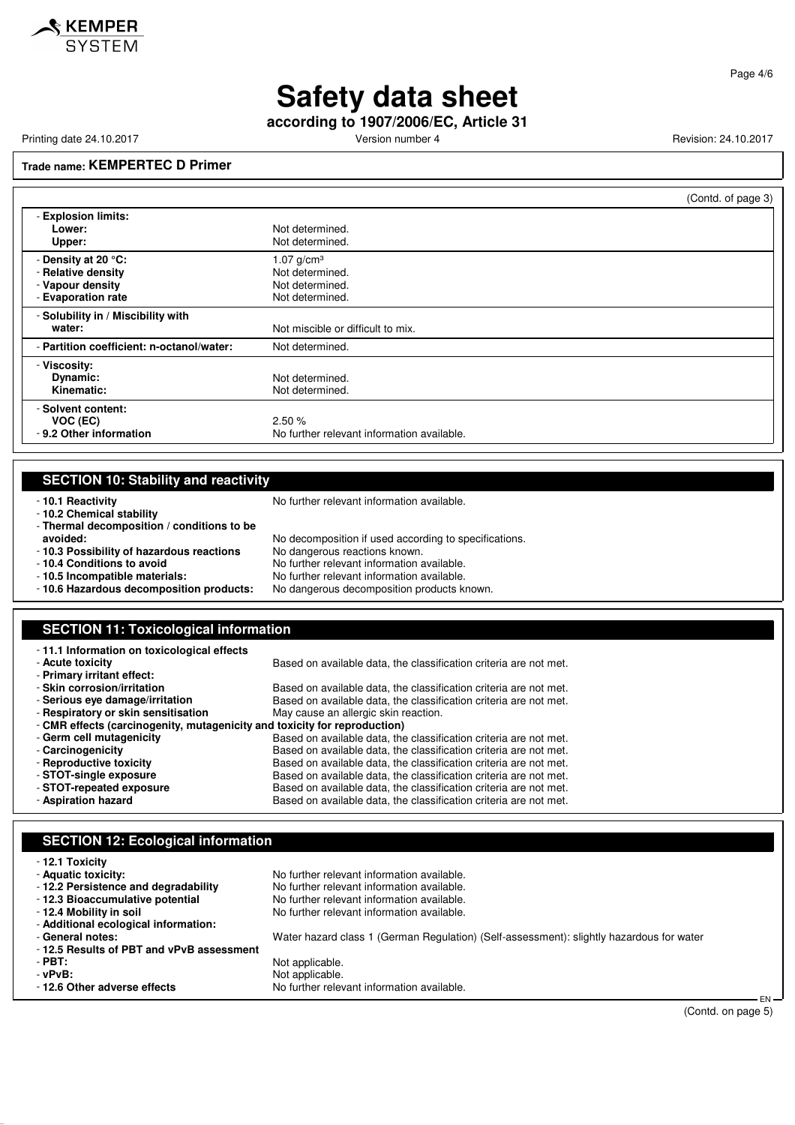#### Page 4/6

## **Safety data sheet**

**according to 1907/2006/EC, Article 31**

Printing date 24.10.2017 **Version number 4** Version number 4 Revision: 24.10.2017

## **Trade name: KEMPERTEC D Primer**

|                                                                                     |                                                                          | (Contd. of page 3) |
|-------------------------------------------------------------------------------------|--------------------------------------------------------------------------|--------------------|
| - Explosion limits:<br>Lower:<br>Upper:                                             | Not determined.<br>Not determined.                                       |                    |
| - Density at 20 °C:<br>- Relative density<br>- Vapour density<br>- Evaporation rate | 1.07 $g/cm^{3}$<br>Not determined.<br>Not determined.<br>Not determined. |                    |
| - Solubility in / Miscibility with<br>water:                                        | Not miscible or difficult to mix.                                        |                    |
| - Partition coefficient: n-octanol/water:                                           | Not determined.                                                          |                    |
| - Viscosity:<br>Dynamic:<br>Kinematic:                                              | Not determined.<br>Not determined.                                       |                    |
| - Solvent content:<br>VOC (EC)<br>- 9.2 Other information                           | 2.50%<br>No further relevant information available.                      |                    |

## **SECTION 10: Stability and reactivity**

- **10.2 Chemical stability**

- **10.1 Reactivity 10.1 Reactivity 10.1 Reactivity 10.1 Reactivity** 

- **Thermal decomposition / conditions to be avoided:** No decomposition if used according to specifications.<br>**10.3 Possibility of hazardous reactions** No dangerous reactions known. - **10.3 Possibility of hazardous reactions**<br>- 10.4 Conditions to avoid - **10.4 Conditions to avoid** No further relevant information available.<br>- **10.5 Incompatible materials:** No further relevant information available. - **10.5 Incompatible materials:** No further relevant information available. No dangerous decomposition products known.

## **SECTION 11: Toxicological information**

| -11.1 Information on toxicological effects                                |                                                                   |  |
|---------------------------------------------------------------------------|-------------------------------------------------------------------|--|
| - Acute toxicity                                                          | Based on available data, the classification criteria are not met. |  |
| - Primary irritant effect:                                                |                                                                   |  |
| - Skin corrosion/irritation                                               | Based on available data, the classification criteria are not met. |  |
| - Serious eve damage/irritation                                           | Based on available data, the classification criteria are not met. |  |
| - Respiratory or skin sensitisation                                       | May cause an allergic skin reaction.                              |  |
| - CMR effects (carcinogenity, mutagenicity and toxicity for reproduction) |                                                                   |  |
| - Germ cell mutagenicity                                                  | Based on available data, the classification criteria are not met. |  |
| - Carcinogenicity                                                         | Based on available data, the classification criteria are not met. |  |
| - Reproductive toxicity                                                   | Based on available data, the classification criteria are not met. |  |
| - STOT-single exposure                                                    | Based on available data, the classification criteria are not met. |  |
| - STOT-repeated exposure                                                  | Based on available data, the classification criteria are not met. |  |
| - Aspiration hazard                                                       | Based on available data, the classification criteria are not met. |  |

## **SECTION 12: Ecological information**

| - 12.1 Toxicity<br>- Aquatic toxicity:<br>-12.2 Persistence and degradability<br>- 12.3 Bioaccumulative potential<br>- 12.4 Mobility in soil | No further relevant information available.<br>No further relevant information available.<br>No further relevant information available.<br>No further relevant information available. |        |
|----------------------------------------------------------------------------------------------------------------------------------------------|--------------------------------------------------------------------------------------------------------------------------------------------------------------------------------------|--------|
| - Additional ecological information:                                                                                                         |                                                                                                                                                                                      |        |
| - General notes:                                                                                                                             | Water hazard class 1 (German Regulation) (Self-assessment): slightly hazardous for water                                                                                             |        |
| -12.5 Results of PBT and vPvB assessment                                                                                                     |                                                                                                                                                                                      |        |
| $-$ PBT:                                                                                                                                     | Not applicable.                                                                                                                                                                      |        |
| - vPvB:                                                                                                                                      | Not applicable.                                                                                                                                                                      |        |
| - 12.6 Other adverse effects                                                                                                                 | No further relevant information available.                                                                                                                                           | $FN -$ |

(Contd. on page 5)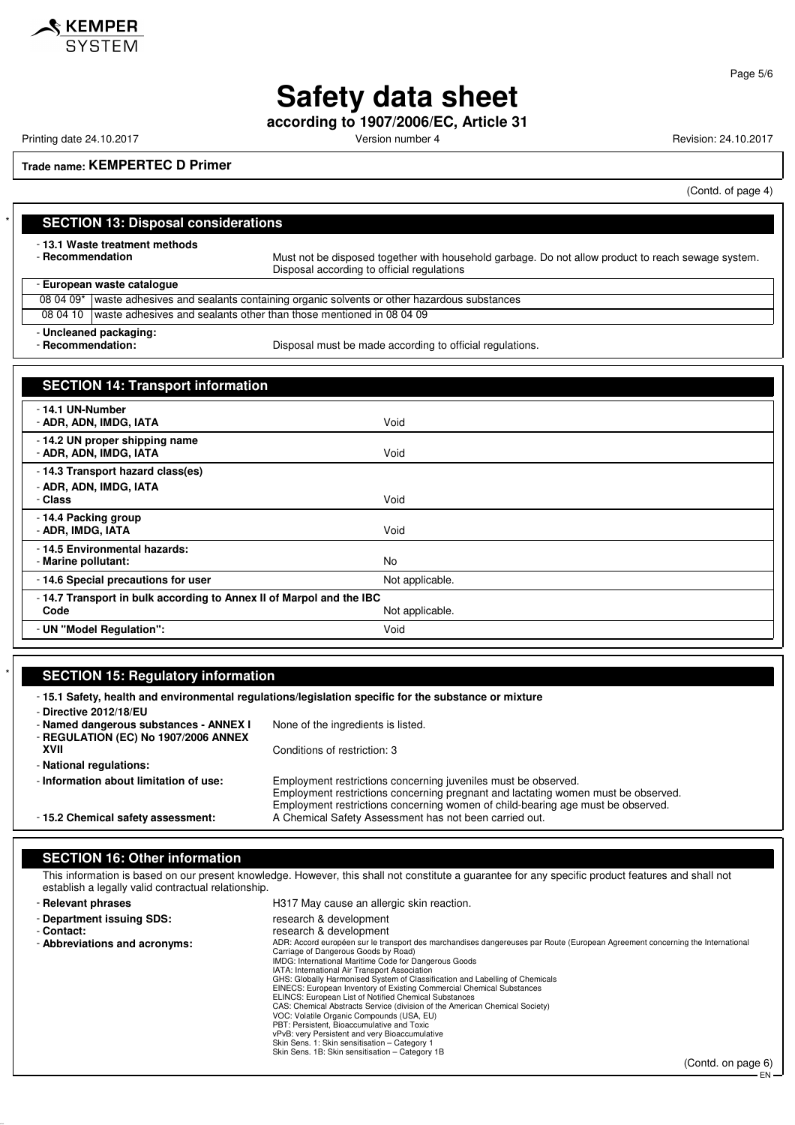

**Safety data sheet**

**according to 1907/2006/EC, Article 31**

Printing date 24.10.2017 **Version number 4 Version number 4** Revision: 24.10.2017

**Trade name: KEMPERTEC D Primer**

(Contd. of page 4)

| <b>SECTION 13: Disposal considerations</b>                                   |                                                                                                                                                  |
|------------------------------------------------------------------------------|--------------------------------------------------------------------------------------------------------------------------------------------------|
| - 13.1 Waste treatment methods<br>- Recommendation                           | Must not be disposed together with household garbage. Do not allow product to reach sewage system.<br>Disposal according to official regulations |
| - European waste cataloque                                                   |                                                                                                                                                  |
|                                                                              | 08 04 09* waste adhesives and sealants containing organic solvents or other hazardous substances                                                 |
| 08 04 10                                                                     | waste adhesives and sealants other than those mentioned in 08 04 09                                                                              |
| - Uncleaned packaging:<br>- Recommendation:                                  | Disposal must be made according to official regulations.                                                                                         |
| <b>SECTION 14: Transport information</b>                                     |                                                                                                                                                  |
| - 14.1 UN-Number<br>- ADR, ADN, IMDG, IATA                                   | Void                                                                                                                                             |
| - 14.2 UN proper shipping name<br>- ADR, ADN, IMDG, IATA                     | Void                                                                                                                                             |
| - 14.3 Transport hazard class(es)<br>- ADR, ADN, IMDG, IATA<br>- Class       | Void                                                                                                                                             |
| -14.4 Packing group<br>- ADR. IMDG. IATA                                     | Void                                                                                                                                             |
| - 14.5 Environmental hazards:<br>- Marine pollutant:                         | <b>No</b>                                                                                                                                        |
| - 14.6 Special precautions for user                                          | Not applicable.                                                                                                                                  |
| - 14.7 Transport in bulk according to Annex II of Marpol and the IBC<br>Code | Not applicable.                                                                                                                                  |
| - UN "Model Regulation":                                                     | Void                                                                                                                                             |

## **SECTION 15: Regulatory information**

| - Directive 2012/18/EU                                                         | -15.1 Safety, health and environmental regulations/legislation specific for the substance or mixture                                                                                                                                   |
|--------------------------------------------------------------------------------|----------------------------------------------------------------------------------------------------------------------------------------------------------------------------------------------------------------------------------------|
| - Named dangerous substances - ANNEX I<br>- REGULATION (EC) No 1907/2006 ANNEX | None of the ingredients is listed.                                                                                                                                                                                                     |
| XVII                                                                           | Conditions of restriction: 3                                                                                                                                                                                                           |
| - National regulations:                                                        |                                                                                                                                                                                                                                        |
| - Information about limitation of use:                                         | Employment restrictions concerning juveniles must be observed.<br>Employment restrictions concerning pregnant and lactating women must be observed.<br>Employment restrictions concerning women of child-bearing age must be observed. |
| - 15.2 Chemical safety assessment:                                             | A Chemical Safety Assessment has not been carried out.                                                                                                                                                                                 |

## **SECTION 16: Other information**

This information is based on our present knowledge. However, this shall not constitute a guarantee for any specific product features and shall not establish a legally valid contractual relationship.

| - Relevant phrases            | H317 May cause an allergic skin reaction.                                                                                                                             |
|-------------------------------|-----------------------------------------------------------------------------------------------------------------------------------------------------------------------|
| - Department issuing SDS:     | research & development                                                                                                                                                |
| - Contact:                    | research & development                                                                                                                                                |
| - Abbreviations and acronyms: | ADR: Accord européen sur le transport des marchandises dangereuses par Route (European Agreement concerning the International<br>Carriage of Dangerous Goods by Road) |
|                               | IMDG: International Maritime Code for Dangerous Goods                                                                                                                 |
|                               | IATA: International Air Transport Association                                                                                                                         |
|                               | GHS: Globally Harmonised System of Classification and Labelling of Chemicals                                                                                          |
|                               | EINECS: European Inventory of Existing Commercial Chemical Substances                                                                                                 |
|                               | ELINCS: European List of Notified Chemical Substances                                                                                                                 |
|                               | CAS: Chemical Abstracts Service (division of the American Chemical Society)                                                                                           |
|                               | VOC: Volatile Organic Compounds (USA, EU)                                                                                                                             |
|                               | PBT: Persistent, Bioaccumulative and Toxic                                                                                                                            |
|                               | vPvB: very Persistent and very Bioaccumulative                                                                                                                        |
|                               | Skin Sens. 1: Skin sensitisation - Category 1                                                                                                                         |
|                               | Skin Sens. 1B: Skin sensitisation - Category 1B                                                                                                                       |

(Contd. on page 6) EN